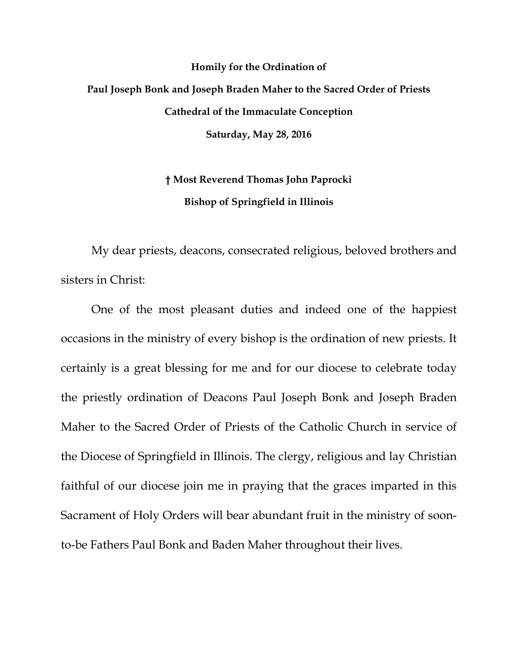## **Homily for the Ordination of Paul Joseph Bonk and Joseph Braden Maher to the Sacred Order of Priests Cathedral of the Immaculate Conception Saturday, May 28, 2016**

**† Most Reverend Thomas John Paprocki Bishop of Springfield in Illinois**

My dear priests, deacons, consecrated religious, beloved brothers and sisters in Christ:

One of the most pleasant duties and indeed one of the happiest occasions in the ministry of every bishop is the ordination of new priests. It certainly is a great blessing for me and for our diocese to celebrate today the priestly ordination of Deacons Paul Joseph Bonk and Joseph Braden Maher to the Sacred Order of Priests of the Catholic Church in service of the Diocese of Springfield in Illinois. The clergy, religious and lay Christian faithful of our diocese join me in praying that the graces imparted in this Sacrament of Holy Orders will bear abundant fruit in the ministry of soonto-be Fathers Paul Bonk and Baden Maher throughout their lives.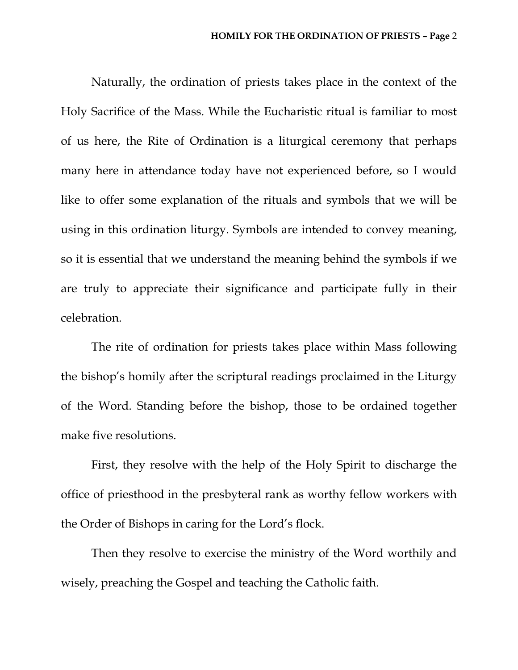Naturally, the ordination of priests takes place in the context of the Holy Sacrifice of the Mass. While the Eucharistic ritual is familiar to most of us here, the Rite of Ordination is a liturgical ceremony that perhaps many here in attendance today have not experienced before, so I would like to offer some explanation of the rituals and symbols that we will be using in this ordination liturgy. Symbols are intended to convey meaning, so it is essential that we understand the meaning behind the symbols if we are truly to appreciate their significance and participate fully in their celebration.

The rite of ordination for priests takes place within Mass following the bishop's homily after the scriptural readings proclaimed in the Liturgy of the Word. Standing before the bishop, those to be ordained together make five resolutions.

First, they resolve with the help of the Holy Spirit to discharge the office of priesthood in the presbyteral rank as worthy fellow workers with the Order of Bishops in caring for the Lord's flock.

Then they resolve to exercise the ministry of the Word worthily and wisely, preaching the Gospel and teaching the Catholic faith.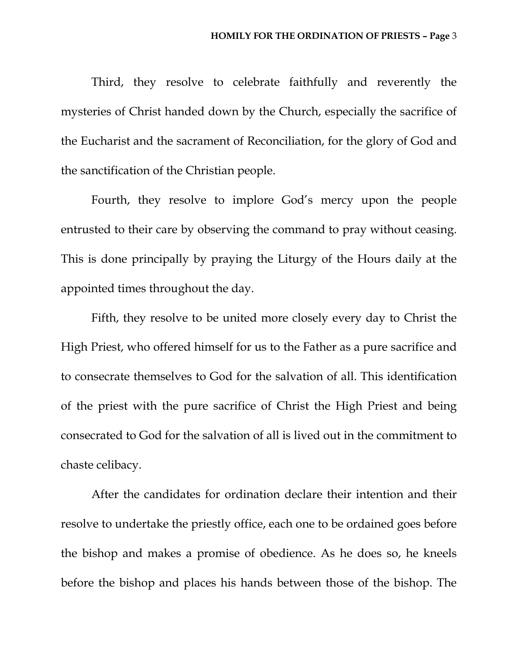Third, they resolve to celebrate faithfully and reverently the mysteries of Christ handed down by the Church, especially the sacrifice of the Eucharist and the sacrament of Reconciliation, for the glory of God and the sanctification of the Christian people.

Fourth, they resolve to implore God's mercy upon the people entrusted to their care by observing the command to pray without ceasing. This is done principally by praying the Liturgy of the Hours daily at the appointed times throughout the day.

Fifth, they resolve to be united more closely every day to Christ the High Priest, who offered himself for us to the Father as a pure sacrifice and to consecrate themselves to God for the salvation of all. This identification of the priest with the pure sacrifice of Christ the High Priest and being consecrated to God for the salvation of all is lived out in the commitment to chaste celibacy.

After the candidates for ordination declare their intention and their resolve to undertake the priestly office, each one to be ordained goes before the bishop and makes a promise of obedience. As he does so, he kneels before the bishop and places his hands between those of the bishop. The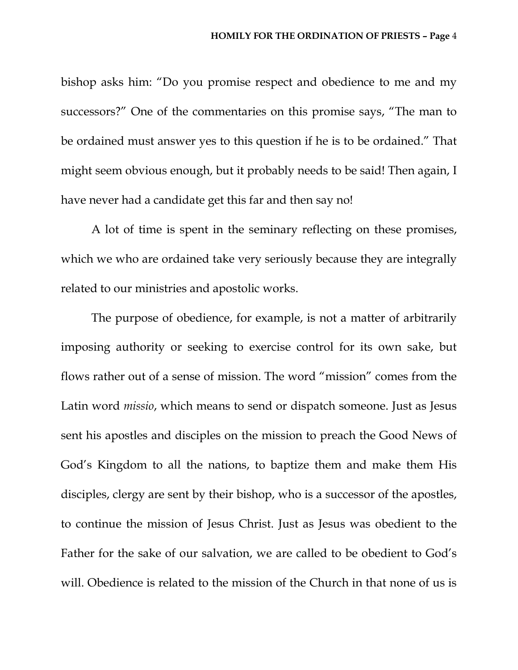bishop asks him: "Do you promise respect and obedience to me and my successors?" One of the commentaries on this promise says, "The man to be ordained must answer yes to this question if he is to be ordained." That might seem obvious enough, but it probably needs to be said! Then again, I have never had a candidate get this far and then say no!

A lot of time is spent in the seminary reflecting on these promises, which we who are ordained take very seriously because they are integrally related to our ministries and apostolic works.

The purpose of obedience, for example, is not a matter of arbitrarily imposing authority or seeking to exercise control for its own sake, but flows rather out of a sense of mission. The word "mission" comes from the Latin word *missio*, which means to send or dispatch someone. Just as Jesus sent his apostles and disciples on the mission to preach the Good News of God's Kingdom to all the nations, to baptize them and make them His disciples, clergy are sent by their bishop, who is a successor of the apostles, to continue the mission of Jesus Christ. Just as Jesus was obedient to the Father for the sake of our salvation, we are called to be obedient to God's will. Obedience is related to the mission of the Church in that none of us is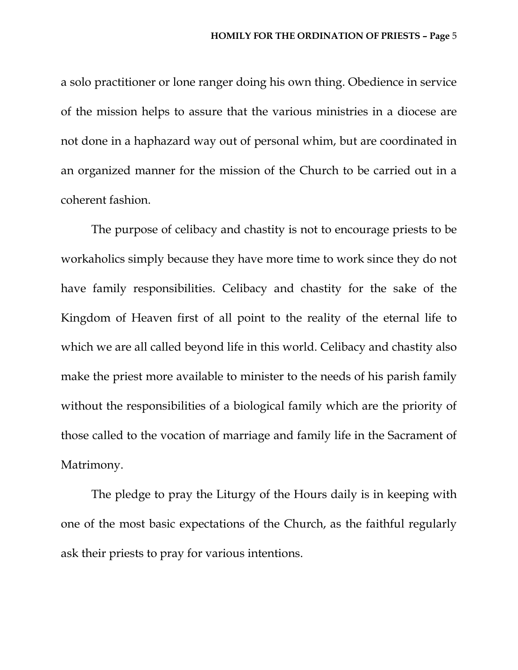a solo practitioner or lone ranger doing his own thing. Obedience in service of the mission helps to assure that the various ministries in a diocese are not done in a haphazard way out of personal whim, but are coordinated in an organized manner for the mission of the Church to be carried out in a coherent fashion.

The purpose of celibacy and chastity is not to encourage priests to be workaholics simply because they have more time to work since they do not have family responsibilities. Celibacy and chastity for the sake of the Kingdom of Heaven first of all point to the reality of the eternal life to which we are all called beyond life in this world. Celibacy and chastity also make the priest more available to minister to the needs of his parish family without the responsibilities of a biological family which are the priority of those called to the vocation of marriage and family life in the Sacrament of Matrimony.

The pledge to pray the Liturgy of the Hours daily is in keeping with one of the most basic expectations of the Church, as the faithful regularly ask their priests to pray for various intentions.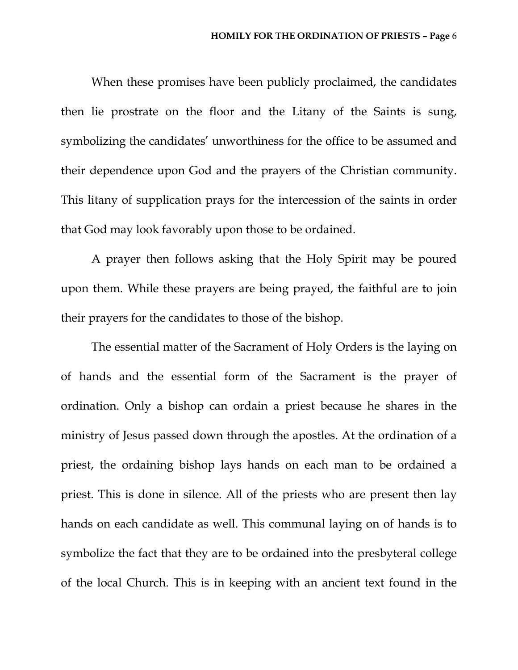When these promises have been publicly proclaimed, the candidates then lie prostrate on the floor and the Litany of the Saints is sung, symbolizing the candidates' unworthiness for the office to be assumed and their dependence upon God and the prayers of the Christian community. This litany of supplication prays for the intercession of the saints in order that God may look favorably upon those to be ordained.

A prayer then follows asking that the Holy Spirit may be poured upon them. While these prayers are being prayed, the faithful are to join their prayers for the candidates to those of the bishop.

The essential matter of the Sacrament of Holy Orders is the laying on of hands and the essential form of the Sacrament is the prayer of ordination. Only a bishop can ordain a priest because he shares in the ministry of Jesus passed down through the apostles. At the ordination of a priest, the ordaining bishop lays hands on each man to be ordained a priest. This is done in silence. All of the priests who are present then lay hands on each candidate as well. This communal laying on of hands is to symbolize the fact that they are to be ordained into the presbyteral college of the local Church. This is in keeping with an ancient text found in the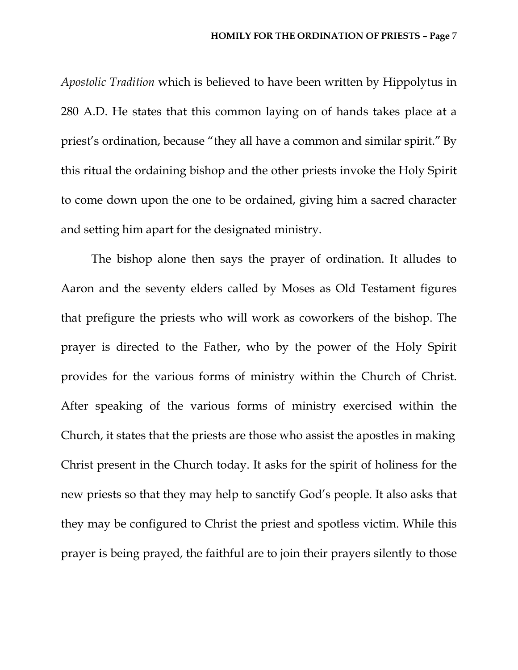*Apostolic Tradition* which is believed to have been written by Hippolytus in 280 A.D. He states that this common laying on of hands takes place at a priest's ordination, because "they all have a common and similar spirit." By this ritual the ordaining bishop and the other priests invoke the Holy Spirit to come down upon the one to be ordained, giving him a sacred character and setting him apart for the designated ministry.

The bishop alone then says the prayer of ordination. It alludes to Aaron and the seventy elders called by Moses as Old Testament figures that prefigure the priests who will work as coworkers of the bishop. The prayer is directed to the Father, who by the power of the Holy Spirit provides for the various forms of ministry within the Church of Christ. After speaking of the various forms of ministry exercised within the Church, it states that the priests are those who assist the apostles in making Christ present in the Church today. It asks for the spirit of holiness for the new priests so that they may help to sanctify God's people. It also asks that they may be configured to Christ the priest and spotless victim. While this prayer is being prayed, the faithful are to join their prayers silently to those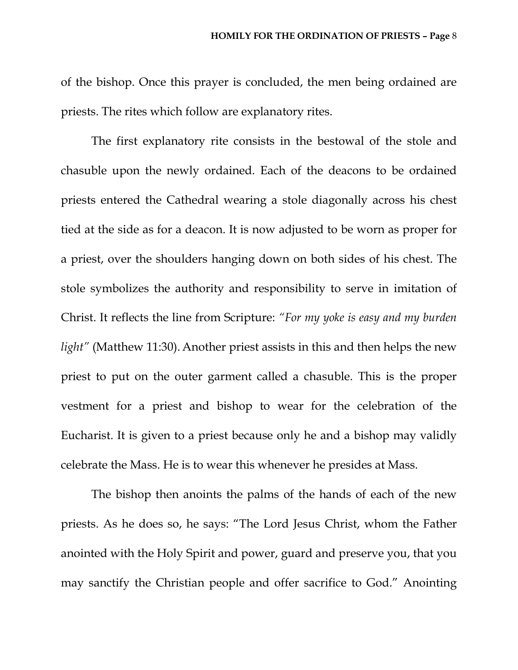of the bishop. Once this prayer is concluded, the men being ordained are priests. The rites which follow are explanatory rites.

The first explanatory rite consists in the bestowal of the stole and chasuble upon the newly ordained. Each of the deacons to be ordained priests entered the Cathedral wearing a stole diagonally across his chest tied at the side as for a deacon. It is now adjusted to be worn as proper for a priest, over the shoulders hanging down on both sides of his chest. The stole symbolizes the authority and responsibility to serve in imitation of Christ. It reflects the line from Scripture: *"For my yoke is easy and my burden light"* (Matthew 11:30). Another priest assists in this and then helps the new priest to put on the outer garment called a chasuble. This is the proper vestment for a priest and bishop to wear for the celebration of the Eucharist. It is given to a priest because only he and a bishop may validly celebrate the Mass. He is to wear this whenever he presides at Mass.

The bishop then anoints the palms of the hands of each of the new priests. As he does so, he says: "The Lord Jesus Christ, whom the Father anointed with the Holy Spirit and power, guard and preserve you, that you may sanctify the Christian people and offer sacrifice to God." Anointing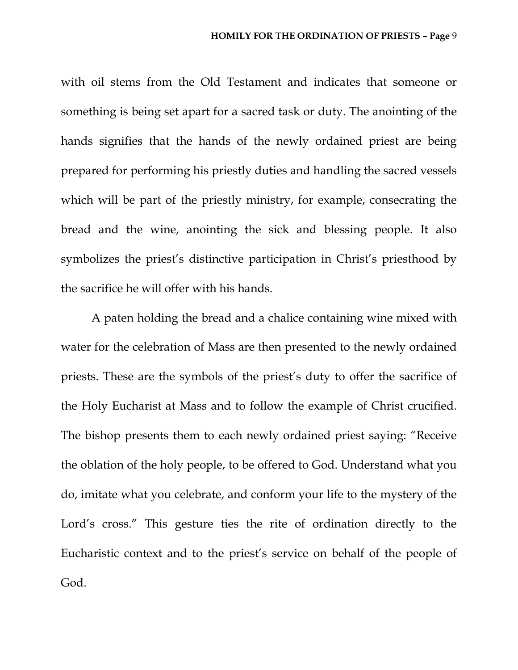with oil stems from the Old Testament and indicates that someone or something is being set apart for a sacred task or duty. The anointing of the hands signifies that the hands of the newly ordained priest are being prepared for performing his priestly duties and handling the sacred vessels which will be part of the priestly ministry, for example, consecrating the bread and the wine, anointing the sick and blessing people. It also symbolizes the priest's distinctive participation in Christ's priesthood by the sacrifice he will offer with his hands.

A paten holding the bread and a chalice containing wine mixed with water for the celebration of Mass are then presented to the newly ordained priests. These are the symbols of the priest's duty to offer the sacrifice of the Holy Eucharist at Mass and to follow the example of Christ crucified. The bishop presents them to each newly ordained priest saying: "Receive the oblation of the holy people, to be offered to God. Understand what you do, imitate what you celebrate, and conform your life to the mystery of the Lord's cross." This gesture ties the rite of ordination directly to the Eucharistic context and to the priest's service on behalf of the people of God.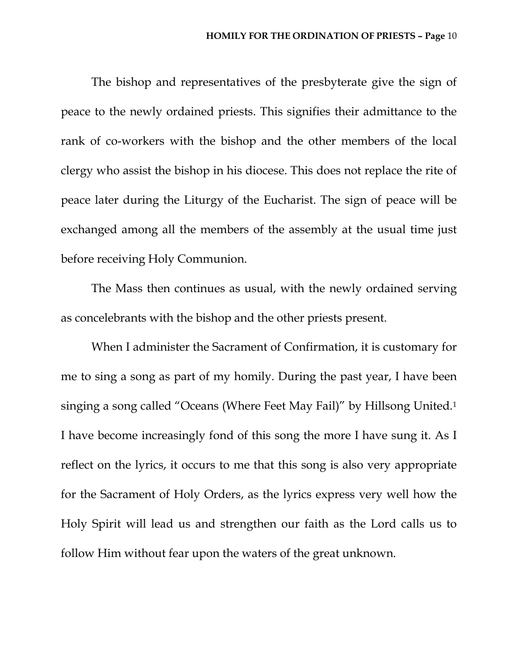The bishop and representatives of the presbyterate give the sign of peace to the newly ordained priests. This signifies their admittance to the rank of co-workers with the bishop and the other members of the local clergy who assist the bishop in his diocese. This does not replace the rite of peace later during the Liturgy of the Eucharist. The sign of peace will be exchanged among all the members of the assembly at the usual time just before receiving Holy Communion.

The Mass then continues as usual, with the newly ordained serving as concelebrants with the bishop and the other priests present.

When I administer the Sacrament of Confirmation, it is customary for me to sing a song as part of my homily. During the past year, I have been singing a song called "Oceans (Where Feet May Fail)" by Hillsong United[.1](#page-11-0) I have become increasingly fond of this song the more I have sung it. As I reflect on the lyrics, it occurs to me that this song is also very appropriate for the Sacrament of Holy Orders, as the lyrics express very well how the Holy Spirit will lead us and strengthen our faith as the Lord calls us to follow Him without fear upon the waters of the great unknown.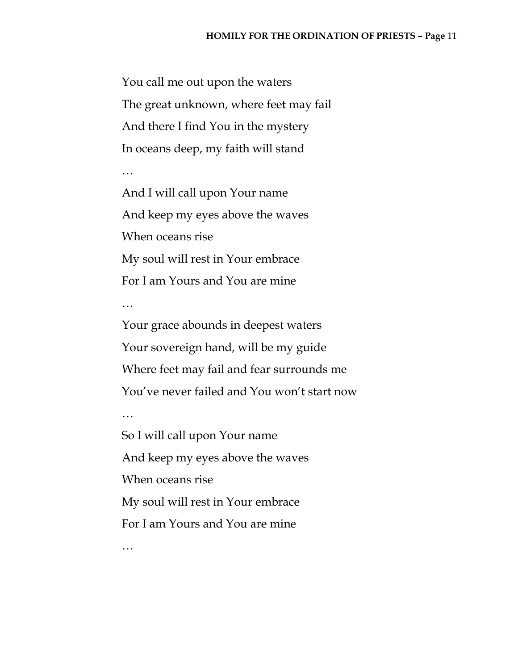You call me out upon the waters The great unknown, where feet may fail And there I find You in the mystery In oceans deep, my faith will stand …

And I will call upon Your name And keep my eyes above the waves When oceans rise My soul will rest in Your embrace For I am Yours and You are mine …

Your grace abounds in deepest waters Your sovereign hand, will be my guide Where feet may fail and fear surrounds me You've never failed and You won't start now

So I will call upon Your name And keep my eyes above the waves When oceans rise My soul will rest in Your embrace For I am Yours and You are mine

…

…